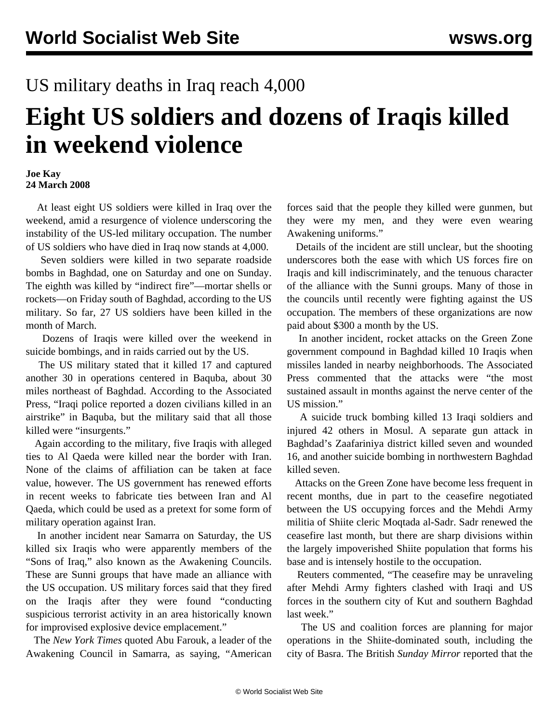## US military deaths in Iraq reach 4,000

## **Eight US soldiers and dozens of Iraqis killed in weekend violence**

## **Joe Kay 24 March 2008**

 At least eight US soldiers were killed in Iraq over the weekend, amid a resurgence of violence underscoring the instability of the US-led military occupation. The number of US soldiers who have died in Iraq now stands at 4,000.

 Seven soldiers were killed in two separate roadside bombs in Baghdad, one on Saturday and one on Sunday. The eighth was killed by "indirect fire"—mortar shells or rockets—on Friday south of Baghdad, according to the US military. So far, 27 US soldiers have been killed in the month of March.

 Dozens of Iraqis were killed over the weekend in suicide bombings, and in raids carried out by the US.

 The US military stated that it killed 17 and captured another 30 in operations centered in Baquba, about 30 miles northeast of Baghdad. According to the Associated Press, "Iraqi police reported a dozen civilians killed in an airstrike" in Baquba, but the military said that all those killed were "insurgents."

 Again according to the military, five Iraqis with alleged ties to Al Qaeda were killed near the border with Iran. None of the claims of affiliation can be taken at face value, however. The US government has renewed efforts in recent weeks to fabricate ties between Iran and Al Qaeda, which could be used as a pretext for some form of military operation against Iran.

 In another incident near Samarra on Saturday, the US killed six Iraqis who were apparently members of the "Sons of Iraq," also known as the Awakening Councils. These are Sunni groups that have made an alliance with the US occupation. US military forces said that they fired on the Iraqis after they were found "conducting suspicious terrorist activity in an area historically known for improvised explosive device emplacement."

 The *New York Times* quoted Abu Farouk, a leader of the Awakening Council in Samarra, as saying, "American forces said that the people they killed were gunmen, but they were my men, and they were even wearing Awakening uniforms."

 Details of the incident are still unclear, but the shooting underscores both the ease with which US forces fire on Iraqis and kill indiscriminately, and the tenuous character of the alliance with the Sunni groups. Many of those in the councils until recently were fighting against the US occupation. The members of these organizations are now paid about \$300 a month by the US.

 In another incident, rocket attacks on the Green Zone government compound in Baghdad killed 10 Iraqis when missiles landed in nearby neighborhoods. The Associated Press commented that the attacks were "the most sustained assault in months against the nerve center of the US mission."

 A suicide truck bombing killed 13 Iraqi soldiers and injured 42 others in Mosul. A separate gun attack in Baghdad's Zaafariniya district killed seven and wounded 16, and another suicide bombing in northwestern Baghdad killed seven.

 Attacks on the Green Zone have become less frequent in recent months, due in part to the ceasefire negotiated between the US occupying forces and the Mehdi Army militia of Shiite cleric Moqtada al-Sadr. Sadr renewed the ceasefire last month, but there are sharp divisions within the largely impoverished Shiite population that forms his base and is intensely hostile to the occupation.

 Reuters commented, "The ceasefire may be unraveling after Mehdi Army fighters clashed with Iraqi and US forces in the southern city of Kut and southern Baghdad last week."

 The US and coalition forces are planning for major operations in the Shiite-dominated south, including the city of Basra. The British *Sunday Mirror* reported that the